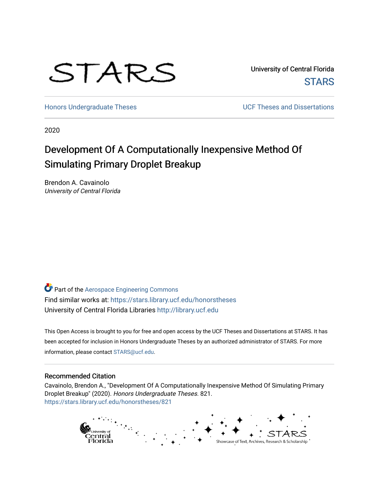# STARS

University of Central Florida **STARS** 

[Honors Undergraduate Theses](https://stars.library.ucf.edu/honorstheses) **Exercise 2018** UCF Theses and Dissertations

2020

# Development Of A Computationally Inexpensive Method Of Simulating Primary Droplet Breakup

Brendon A. Cavainolo University of Central Florida

Part of the [Aerospace Engineering Commons](http://network.bepress.com/hgg/discipline/218?utm_source=stars.library.ucf.edu%2Fhonorstheses%2F821&utm_medium=PDF&utm_campaign=PDFCoverPages) Find similar works at: <https://stars.library.ucf.edu/honorstheses> University of Central Florida Libraries [http://library.ucf.edu](http://library.ucf.edu/) 

This Open Access is brought to you for free and open access by the UCF Theses and Dissertations at STARS. It has been accepted for inclusion in Honors Undergraduate Theses by an authorized administrator of STARS. For more information, please contact [STARS@ucf.edu.](mailto:STARS@ucf.edu)

#### Recommended Citation

Cavainolo, Brendon A., "Development Of A Computationally Inexpensive Method Of Simulating Primary Droplet Breakup" (2020). Honors Undergraduate Theses. 821. [https://stars.library.ucf.edu/honorstheses/821](https://stars.library.ucf.edu/honorstheses/821?utm_source=stars.library.ucf.edu%2Fhonorstheses%2F821&utm_medium=PDF&utm_campaign=PDFCoverPages) 

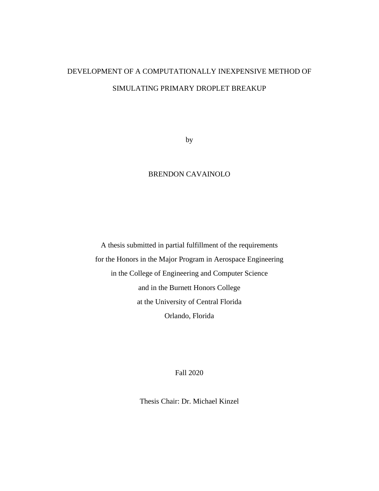# DEVELOPMENT OF A COMPUTATIONALLY INEXPENSIVE METHOD OF SIMULATING PRIMARY DROPLET BREAKUP

by

#### BRENDON CAVAINOLO

A thesis submitted in partial fulfillment of the requirements for the Honors in the Major Program in Aerospace Engineering in the College of Engineering and Computer Science and in the Burnett Honors College at the University of Central Florida Orlando, Florida

Fall 2020

Thesis Chair: Dr. Michael Kinzel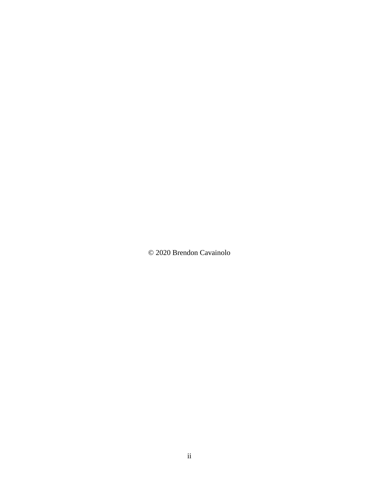© 2020 Brendon Cavainolo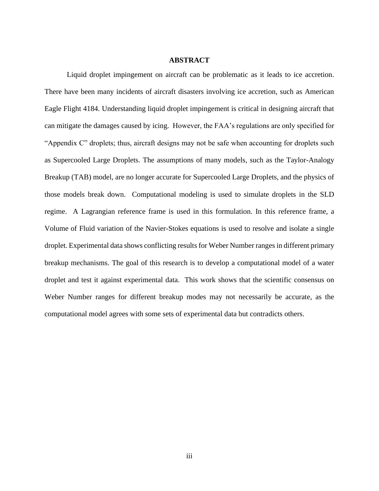#### **ABSTRACT**

Liquid droplet impingement on aircraft can be problematic as it leads to ice accretion. There have been many incidents of aircraft disasters involving ice accretion, such as American Eagle Flight 4184. Understanding liquid droplet impingement is critical in designing aircraft that can mitigate the damages caused by icing. However, the FAA's regulations are only specified for "Appendix C" droplets; thus, aircraft designs may not be safe when accounting for droplets such as Supercooled Large Droplets. The assumptions of many models, such as the Taylor-Analogy Breakup (TAB) model, are no longer accurate for Supercooled Large Droplets, and the physics of those models break down. Computational modeling is used to simulate droplets in the SLD regime. A Lagrangian reference frame is used in this formulation. In this reference frame, a Volume of Fluid variation of the Navier-Stokes equations is used to resolve and isolate a single droplet. Experimental data shows conflicting results for Weber Number ranges in different primary breakup mechanisms. The goal of this research is to develop a computational model of a water droplet and test it against experimental data. This work shows that the scientific consensus on Weber Number ranges for different breakup modes may not necessarily be accurate, as the computational model agrees with some sets of experimental data but contradicts others.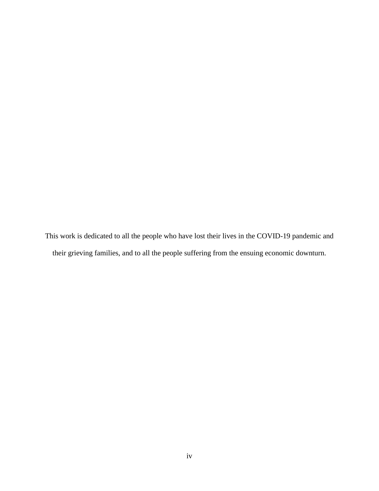This work is dedicated to all the people who have lost their lives in the COVID-19 pandemic and their grieving families, and to all the people suffering from the ensuing economic downturn.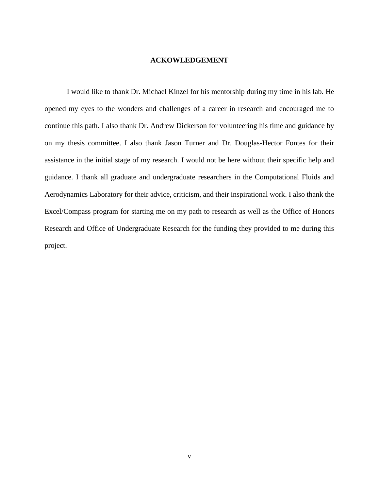#### **ACKOWLEDGEMENT**

<span id="page-5-0"></span>I would like to thank Dr. Michael Kinzel for his mentorship during my time in his lab. He opened my eyes to the wonders and challenges of a career in research and encouraged me to continue this path. I also thank Dr. Andrew Dickerson for volunteering his time and guidance by on my thesis committee. I also thank Jason Turner and Dr. Douglas-Hector Fontes for their assistance in the initial stage of my research. I would not be here without their specific help and guidance. I thank all graduate and undergraduate researchers in the Computational Fluids and Aerodynamics Laboratory for their advice, criticism, and their inspirational work. I also thank the Excel/Compass program for starting me on my path to research as well as the Office of Honors Research and Office of Undergraduate Research for the funding they provided to me during this project.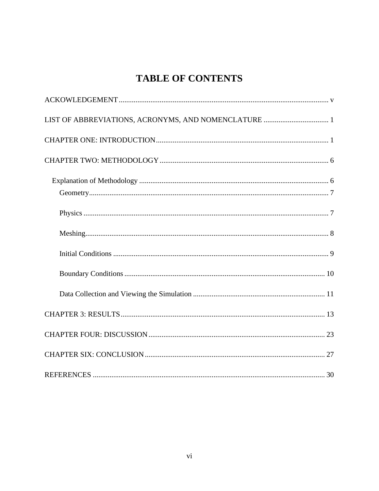## **TABLE OF CONTENTS**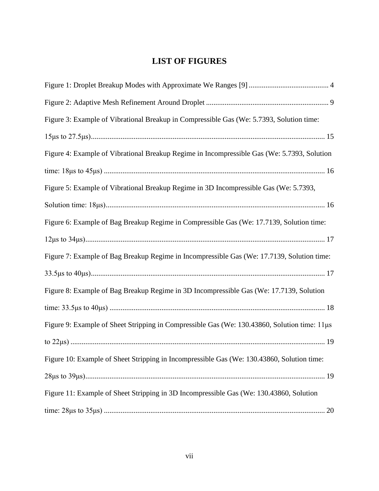### **LIST OF FIGURES**

| Figure 3: Example of Vibrational Breakup in Compressible Gas (We: 5.7393, Solution time:     |
|----------------------------------------------------------------------------------------------|
|                                                                                              |
| Figure 4: Example of Vibrational Breakup Regime in Incompressible Gas (We: 5.7393, Solution  |
|                                                                                              |
| Figure 5: Example of Vibrational Breakup Regime in 3D Incompressible Gas (We: 5.7393,        |
|                                                                                              |
| Figure 6: Example of Bag Breakup Regime in Compressible Gas (We: 17.7139, Solution time:     |
|                                                                                              |
| Figure 7: Example of Bag Breakup Regime in Incompressible Gas (We: 17.7139, Solution time:   |
|                                                                                              |
| Figure 8: Example of Bag Breakup Regime in 3D Incompressible Gas (We: 17.7139, Solution      |
|                                                                                              |
| Figure 9: Example of Sheet Stripping in Compressible Gas (We: 130.43860, Solution time: 11µs |
|                                                                                              |
| Figure 10: Example of Sheet Stripping in Incompressible Gas (We: 130.43860, Solution time:   |
|                                                                                              |
| Figure 11: Example of Sheet Stripping in 3D Incompressible Gas (We: 130.43860, Solution      |
|                                                                                              |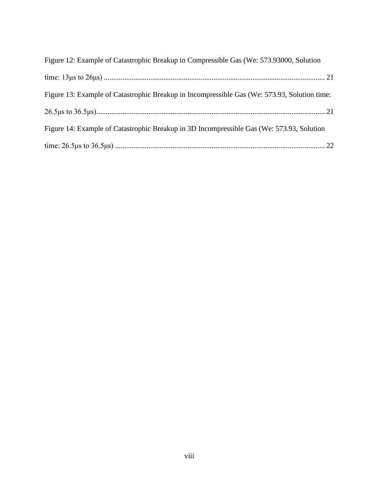| Figure 12: Example of Catastrophic Breakup in Compressible Gas (We: 573.93000, Solution      |  |
|----------------------------------------------------------------------------------------------|--|
|                                                                                              |  |
| Figure 13: Example of Catastrophic Breakup in Incompressible Gas (We: 573.93, Solution time: |  |
|                                                                                              |  |
| Figure 14: Example of Catastrophic Breakup in 3D Incompressible Gas (We: 573.93, Solution    |  |
|                                                                                              |  |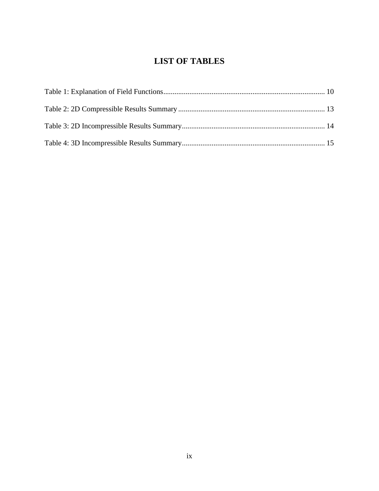## **LIST OF TABLES**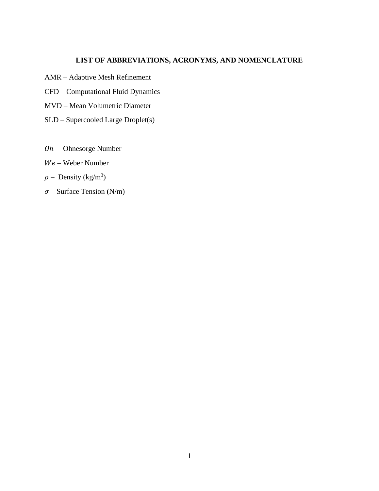#### **LIST OF ABBREVIATIONS, ACRONYMS, AND NOMENCLATURE**

- <span id="page-10-0"></span>AMR – Adaptive Mesh Refinement
- CFD Computational Fluid Dynamics
- MVD Mean Volumetric Diameter
- SLD Supercooled Large Droplet(s)
- $Oh$  Ohnesorge Number
- Weber Number
- $\rho$  Density (kg/m<sup>3</sup>)
- $\sigma$  Surface Tension (N/m)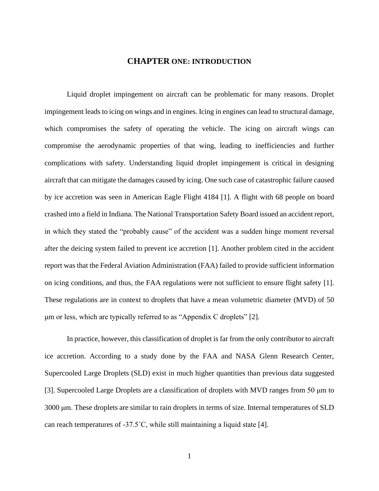#### **CHAPTER ONE: INTRODUCTION**

<span id="page-11-0"></span>Liquid droplet impingement on aircraft can be problematic for many reasons. Droplet impingement leads to icing on wings and in engines. Icing in engines can lead to structural damage, which compromises the safety of operating the vehicle. The icing on aircraft wings can compromise the aerodynamic properties of that wing, leading to inefficiencies and further complications with safety. Understanding liquid droplet impingement is critical in designing aircraft that can mitigate the damages caused by icing. One such case of catastrophic failure caused by ice accretion was seen in American Eagle Flight 4184 [1]. A flight with 68 people on board crashed into a field in Indiana. The National Transportation Safety Board issued an accident report, in which they stated the "probably cause" of the accident was a sudden hinge moment reversal after the deicing system failed to prevent ice accretion [1]. Another problem cited in the accident report was that the Federal Aviation Administration (FAA) failed to provide sufficient information on icing conditions, and thus, the FAA regulations were not sufficient to ensure flight safety [1]. These regulations are in context to droplets that have a mean volumetric diameter (MVD) of 50 μm or less, which are typically referred to as "Appendix C droplets" [2].

In practice, however, this classification of droplet is far from the only contributor to aircraft ice accretion. According to a study done by the FAA and NASA Glenn Research Center, Supercooled Large Droplets (SLD) exist in much higher quantities than previous data suggested [3]. Supercooled Large Droplets are a classification of droplets with MVD ranges from 50 μm to 3000 μm. These droplets are similar to rain droplets in terms of size. Internal temperatures of SLD can reach temperatures of -37.5˚C, while still maintaining a liquid state [4].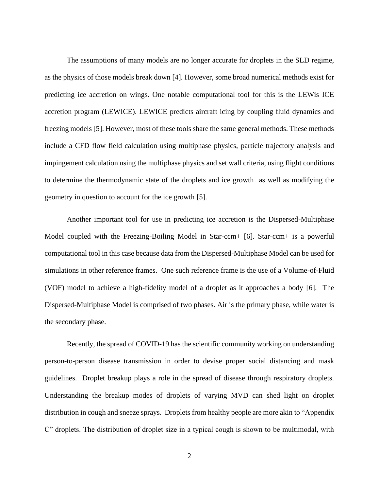The assumptions of many models are no longer accurate for droplets in the SLD regime, as the physics of those models break down [4]. However, some broad numerical methods exist for predicting ice accretion on wings. One notable computational tool for this is the LEWis ICE accretion program (LEWICE). LEWICE predicts aircraft icing by coupling fluid dynamics and freezing models [5]. However, most of these tools share the same general methods. These methods include a CFD flow field calculation using multiphase physics, particle trajectory analysis and impingement calculation using the multiphase physics and set wall criteria, using flight conditions to determine the thermodynamic state of the droplets and ice growth as well as modifying the geometry in question to account for the ice growth [5].

Another important tool for use in predicting ice accretion is the Dispersed-Multiphase Model coupled with the Freezing-Boiling Model in Star-ccm+ [6]. Star-ccm+ is a powerful computational tool in this case because data from the Dispersed-Multiphase Model can be used for simulations in other reference frames. One such reference frame is the use of a Volume-of-Fluid (VOF) model to achieve a high-fidelity model of a droplet as it approaches a body [6]. The Dispersed-Multiphase Model is comprised of two phases. Air is the primary phase, while water is the secondary phase.

Recently, the spread of COVID-19 has the scientific community working on understanding person-to-person disease transmission in order to devise proper social distancing and mask guidelines. Droplet breakup plays a role in the spread of disease through respiratory droplets. Understanding the breakup modes of droplets of varying MVD can shed light on droplet distribution in cough and sneeze sprays. Droplets from healthy people are more akin to "Appendix C" droplets. The distribution of droplet size in a typical cough is shown to be multimodal, with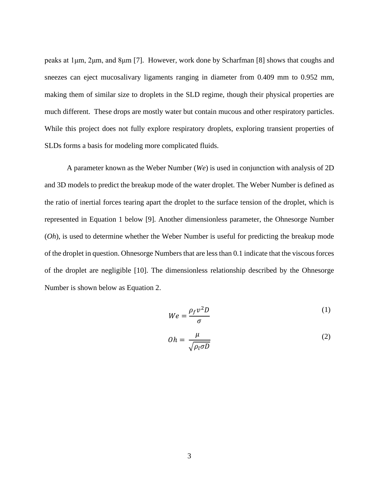peaks at 1μm, 2μm, and 8μm [7]. However, work done by Scharfman [8] shows that coughs and sneezes can eject mucosalivary ligaments ranging in diameter from 0.409 mm to 0.952 mm, making them of similar size to droplets in the SLD regime, though their physical properties are much different. These drops are mostly water but contain mucous and other respiratory particles. While this project does not fully explore respiratory droplets, exploring transient properties of SLDs forms a basis for modeling more complicated fluids.

A parameter known as the Weber Number (*We*) is used in conjunction with analysis of 2D and 3D models to predict the breakup mode of the water droplet. The Weber Number is defined as the ratio of inertial forces tearing apart the droplet to the surface tension of the droplet, which is represented in Equation 1 below [9]. Another dimensionless parameter, the Ohnesorge Number (*Oh*), is used to determine whether the Weber Number is useful for predicting the breakup mode of the droplet in question. Ohnesorge Numbers that are less than 0.1 indicate that the viscous forces of the droplet are negligible [10]. The dimensionless relationship described by the Ohnesorge Number is shown below as Equation 2.

$$
We = \frac{\rho_f v^2 D}{\sigma} \tag{1}
$$

$$
Oh = \frac{\mu}{\sqrt{\rho_l \sigma D}} \tag{2}
$$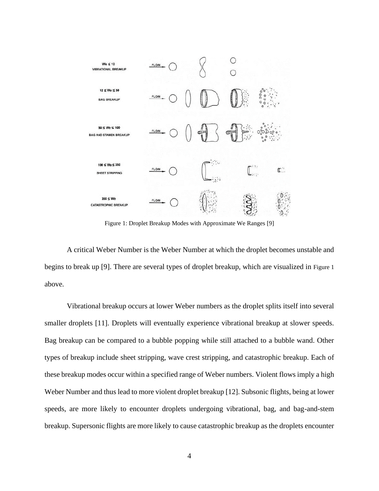

<span id="page-14-0"></span>Figure 1: Droplet Breakup Modes with Approximate We Ranges [9]

A critical Weber Number is the Weber Number at which the droplet becomes unstable and begins to break up [9]. There are several types of droplet breakup, which are visualized in [Figure 1](#page-14-0) above.

Vibrational breakup occurs at lower Weber numbers as the droplet splits itself into several smaller droplets [11]. Droplets will eventually experience vibrational breakup at slower speeds. Bag breakup can be compared to a bubble popping while still attached to a bubble wand. Other types of breakup include sheet stripping, wave crest stripping, and catastrophic breakup. Each of these breakup modes occur within a specified range of Weber numbers. Violent flows imply a high Weber Number and thus lead to more violent droplet breakup [12]. Subsonic flights, being at lower speeds, are more likely to encounter droplets undergoing vibrational, bag, and bag-and-stem breakup. Supersonic flights are more likely to cause catastrophic breakup as the droplets encounter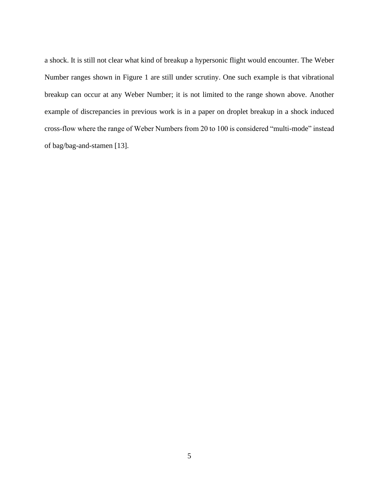a shock. It is still not clear what kind of breakup a hypersonic flight would encounter. The Weber Number ranges shown in [Figure 1](#page-14-0) are still under scrutiny. One such example is that vibrational breakup can occur at any Weber Number; it is not limited to the range shown above. Another example of discrepancies in previous work is in a paper on droplet breakup in a shock induced cross-flow where the range of Weber Numbers from 20 to 100 is considered "multi-mode" instead of bag/bag-and-stamen [13].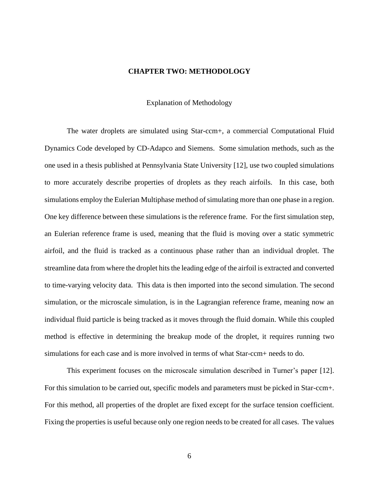#### **CHAPTER TWO: METHODOLOGY**

Explanation of Methodology

<span id="page-16-1"></span><span id="page-16-0"></span>The water droplets are simulated using Star-ccm+, a commercial Computational Fluid Dynamics Code developed by CD-Adapco and Siemens. Some simulation methods, such as the one used in a thesis published at Pennsylvania State University [12], use two coupled simulations to more accurately describe properties of droplets as they reach airfoils. In this case, both simulations employ the Eulerian Multiphase method of simulating more than one phase in a region. One key difference between these simulations is the reference frame. For the first simulation step, an Eulerian reference frame is used, meaning that the fluid is moving over a static symmetric airfoil, and the fluid is tracked as a continuous phase rather than an individual droplet. The streamline data from where the droplet hits the leading edge of the airfoil is extracted and converted to time-varying velocity data. This data is then imported into the second simulation. The second simulation, or the microscale simulation, is in the Lagrangian reference frame, meaning now an individual fluid particle is being tracked as it moves through the fluid domain. While this coupled method is effective in determining the breakup mode of the droplet, it requires running two simulations for each case and is more involved in terms of what Star-ccm+ needs to do.

This experiment focuses on the microscale simulation described in Turner's paper [12]. For this simulation to be carried out, specific models and parameters must be picked in Star-ccm+. For this method, all properties of the droplet are fixed except for the surface tension coefficient. Fixing the properties is useful because only one region needs to be created for all cases. The values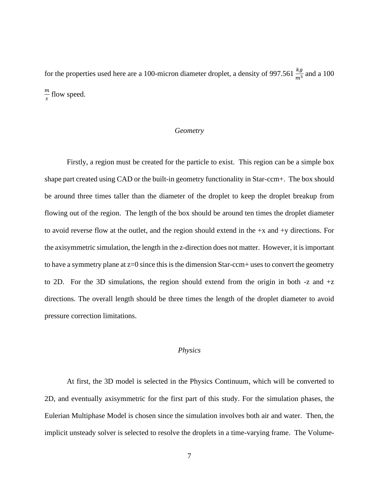for the properties used here are a 100-micron diameter droplet, a density of 997.561  $\frac{kg}{m^3}$  and a 100 m  $\frac{m}{s}$  flow speed.

#### *Geometry*

<span id="page-17-0"></span>Firstly, a region must be created for the particle to exist. This region can be a simple box shape part created using CAD or the built-in geometry functionality in Star-ccm+. The box should be around three times taller than the diameter of the droplet to keep the droplet breakup from flowing out of the region. The length of the box should be around ten times the droplet diameter to avoid reverse flow at the outlet, and the region should extend in the  $+x$  and  $+y$  directions. For the axisymmetric simulation, the length in the z-direction does not matter. However, it is important to have a symmetry plane at  $z=0$  since this is the dimension Star-ccm+ uses to convert the geometry to 2D. For the 3D simulations, the region should extend from the origin in both  $-z$  and  $+z$ directions. The overall length should be three times the length of the droplet diameter to avoid pressure correction limitations.

#### *Physics*

<span id="page-17-1"></span>At first, the 3D model is selected in the Physics Continuum, which will be converted to 2D, and eventually axisymmetric for the first part of this study. For the simulation phases, the Eulerian Multiphase Model is chosen since the simulation involves both air and water. Then, the implicit unsteady solver is selected to resolve the droplets in a time-varying frame. The Volume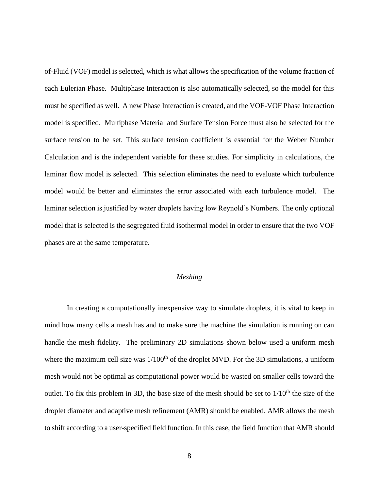of-Fluid (VOF) model is selected, which is what allows the specification of the volume fraction of each Eulerian Phase. Multiphase Interaction is also automatically selected, so the model for this must be specified as well. A new Phase Interaction is created, and the VOF-VOF Phase Interaction model is specified. Multiphase Material and Surface Tension Force must also be selected for the surface tension to be set. This surface tension coefficient is essential for the Weber Number Calculation and is the independent variable for these studies. For simplicity in calculations, the laminar flow model is selected. This selection eliminates the need to evaluate which turbulence model would be better and eliminates the error associated with each turbulence model. The laminar selection is justified by water droplets having low Reynold's Numbers. The only optional model that is selected is the segregated fluid isothermal model in order to ensure that the two VOF phases are at the same temperature.

#### *Meshing*

<span id="page-18-0"></span>In creating a computationally inexpensive way to simulate droplets, it is vital to keep in mind how many cells a mesh has and to make sure the machine the simulation is running on can handle the mesh fidelity. The preliminary 2D simulations shown below used a uniform mesh where the maximum cell size was  $1/100^{th}$  of the droplet MVD. For the 3D simulations, a uniform mesh would not be optimal as computational power would be wasted on smaller cells toward the outlet. To fix this problem in 3D, the base size of the mesh should be set to  $1/10<sup>th</sup>$  the size of the droplet diameter and adaptive mesh refinement (AMR) should be enabled. AMR allows the mesh to shift according to a user-specified field function. In this case, the field function that AMR should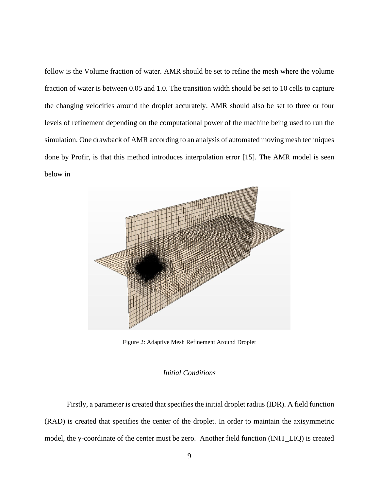follow is the Volume fraction of water. AMR should be set to refine the mesh where the volume fraction of water is between 0.05 and 1.0. The transition width should be set to 10 cells to capture the changing velocities around the droplet accurately. AMR should also be set to three or four levels of refinement depending on the computational power of the machine being used to run the simulation. One drawback of AMR according to an analysis of automated moving mesh techniques done by Profir, is that this method introduces interpolation error [15]. The AMR model is seen below in



Figure 2: Adaptive Mesh Refinement Around Droplet

#### *Initial Conditions*

<span id="page-19-1"></span><span id="page-19-0"></span>Firstly, a parameter is created that specifies the initial droplet radius (IDR). A field function (RAD) is created that specifies the center of the droplet. In order to maintain the axisymmetric model, the y-coordinate of the center must be zero. Another field function (INIT\_LIQ) is created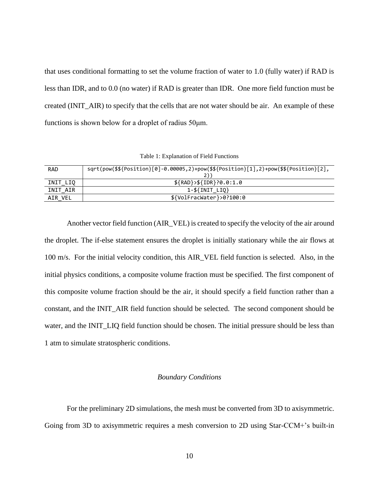that uses conditional formatting to set the volume fraction of water to 1.0 (fully water) if RAD is less than IDR, and to 0.0 (no water) if RAD is greater than IDR. One more field function must be created (INIT\_AIR) to specify that the cells that are not water should be air. An example of these functions is shown below for a droplet of radius 50μm.

Table 1: Explanation of Field Functions

<span id="page-20-1"></span>

| <b>RAD</b> | $sqrt(\frac{1}{2}, \frac{1}{2}) - 0.00005, 2} + pow(\frac{1}{2}, \frac{1}{2}) + pow(\frac{1}{2}, \frac{1}{2}) + pow(\frac{1}{2}, \frac{1}{2}).$ |
|------------|-------------------------------------------------------------------------------------------------------------------------------------------------|
| INIT LIQ   | $$$ {RAD}>\${IDR}?0.0:1.0                                                                                                                       |
| INIT AIR   | $1 - $$ {INIT LIQ}                                                                                                                              |
| AIR VEL    | $$$ {VolFracWater}>0?100:0                                                                                                                      |

Another vector field function (AIR\_VEL) is created to specify the velocity of the air around the droplet. The if-else statement ensures the droplet is initially stationary while the air flows at 100 m/s. For the initial velocity condition, this AIR\_VEL field function is selected. Also, in the initial physics conditions, a composite volume fraction must be specified. The first component of this composite volume fraction should be the air, it should specify a field function rather than a constant, and the INIT\_AIR field function should be selected. The second component should be water, and the INIT\_LIQ field function should be chosen. The initial pressure should be less than 1 atm to simulate stratospheric conditions.

#### *Boundary Conditions*

<span id="page-20-0"></span>For the preliminary 2D simulations, the mesh must be converted from 3D to axisymmetric. Going from 3D to axisymmetric requires a mesh conversion to 2D using Star-CCM+'s built-in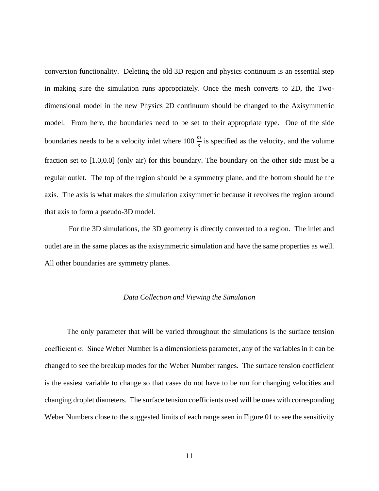conversion functionality. Deleting the old 3D region and physics continuum is an essential step in making sure the simulation runs appropriately. Once the mesh converts to 2D, the Twodimensional model in the new Physics 2D continuum should be changed to the Axisymmetric model. From here, the boundaries need to be set to their appropriate type. One of the side boundaries needs to be a velocity inlet where 100  $\frac{m}{s}$  is specified as the velocity, and the volume fraction set to [1.0,0.0] (only air) for this boundary. The boundary on the other side must be a regular outlet. The top of the region should be a symmetry plane, and the bottom should be the axis. The axis is what makes the simulation axisymmetric because it revolves the region around that axis to form a pseudo-3D model.

For the 3D simulations, the 3D geometry is directly converted to a region. The inlet and outlet are in the same places as the axisymmetric simulation and have the same properties as well. All other boundaries are symmetry planes.

#### *Data Collection and Viewing the Simulation*

<span id="page-21-0"></span>The only parameter that will be varied throughout the simulations is the surface tension coefficient σ. Since Weber Number is a dimensionless parameter, any of the variables in it can be changed to see the breakup modes for the Weber Number ranges. The surface tension coefficient is the easiest variable to change so that cases do not have to be run for changing velocities and changing droplet diameters. The surface tension coefficients used will be ones with corresponding Weber Numbers close to the suggested limits of each range seen in Figure 01 to see the sensitivity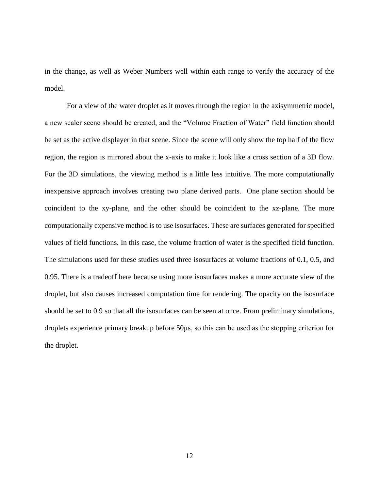in the change, as well as Weber Numbers well within each range to verify the accuracy of the model.

For a view of the water droplet as it moves through the region in the axisymmetric model, a new scaler scene should be created, and the "Volume Fraction of Water" field function should be set as the active displayer in that scene. Since the scene will only show the top half of the flow region, the region is mirrored about the x-axis to make it look like a cross section of a 3D flow. For the 3D simulations, the viewing method is a little less intuitive. The more computationally inexpensive approach involves creating two plane derived parts. One plane section should be coincident to the xy-plane, and the other should be coincident to the xz-plane. The more computationally expensive method is to use isosurfaces. These are surfaces generated for specified values of field functions. In this case, the volume fraction of water is the specified field function. The simulations used for these studies used three isosurfaces at volume fractions of 0.1, 0.5, and 0.95. There is a tradeoff here because using more isosurfaces makes a more accurate view of the droplet, but also causes increased computation time for rendering. The opacity on the isosurface should be set to 0.9 so that all the isosurfaces can be seen at once. From preliminary simulations, droplets experience primary breakup before 50μs, so this can be used as the stopping criterion for the droplet.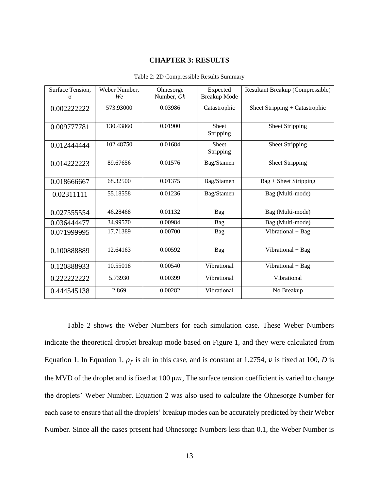#### **CHAPTER 3: RESULTS**

<span id="page-23-1"></span><span id="page-23-0"></span>

| Surface Tension, | Weber Number, | Ohnesorge  | Expected            | Resultant Breakup (Compressible) |
|------------------|---------------|------------|---------------------|----------------------------------|
| σ                | We            | Number, Oh | <b>Breakup Mode</b> |                                  |
| 0.002222222      | 573.93000     | 0.03986    | Catastrophic        | Sheet Stripping + Catastrophic   |
|                  |               |            |                     |                                  |
| 0.009777781      | 130.43860     | 0.01900    | <b>Sheet</b>        | <b>Sheet Stripping</b>           |
|                  |               |            | Stripping           |                                  |
| 0.012444444      | 102.48750     | 0.01684    | <b>Sheet</b>        | <b>Sheet Stripping</b>           |
|                  |               |            | Stripping           |                                  |
| 0.014222223      | 89.67656      | 0.01576    | Bag/Stamen          | <b>Sheet Stripping</b>           |
|                  |               |            |                     |                                  |
| 0.018666667      | 68.32500      | 0.01375    | Bag/Stamen          | $Bag + Sheet$ Stripping          |
| 0.02311111       | 55.18558      | 0.01236    | Bag/Stamen          | Bag (Multi-mode)                 |
|                  |               |            |                     |                                  |
| 0.027555554      | 46.28468      | 0.01132    | Bag                 | Bag (Multi-mode)                 |
|                  |               |            |                     |                                  |
| 0.036444477      | 34.99570      | 0.00984    | <b>Bag</b>          | Bag (Multi-mode)                 |
| 0.071999995      | 17.71389      | 0.00700    | Bag                 | Vibrational + Bag                |
|                  |               |            |                     |                                  |
| 0.100888889      | 12.64163      | 0.00592    | Bag                 | Vibrational + Bag                |
|                  |               |            |                     |                                  |
| 0.120888933      | 10.55018      | 0.00540    | Vibrational         | Vibrational + Bag                |
| 0.222222222      | 5.73930       | 0.00399    | Vibrational         | Vibrational                      |
| 0.444545138      | 2.869         | 0.00282    | Vibrational         | No Breakup                       |
|                  |               |            |                     |                                  |

Table 2: 2D Compressible Results Summary

[Table 2](#page-23-1) shows the Weber Numbers for each simulation case. These Weber Numbers indicate the theoretical droplet breakup mode based on [Figure 1,](#page-14-0) and they were calculated from Equation 1. In Equation 1,  $\rho_f$  is air in this case, and is constant at 1.2754,  $\nu$  is fixed at 100, *D* is the MVD of the droplet and is fixed at 100  $\mu$ m, The surface tension coefficient is varied to change the droplets' Weber Number. Equation 2 was also used to calculate the Ohnesorge Number for each case to ensure that all the droplets' breakup modes can be accurately predicted by their Weber Number. Since all the cases present had Ohnesorge Numbers less than 0.1, the Weber Number is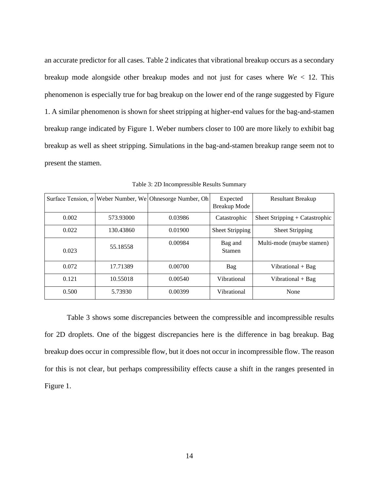an accurate predictor for all cases. [Table 2](#page-23-1) indicates that vibrational breakup occurs as a secondary breakup mode alongside other breakup modes and not just for cases where *We* < 12. This phenomenon is especially true for bag breakup on the lower end of the range suggested by [Figure](#page-14-0)  [1.](#page-14-0) A similar phenomenon is shown for sheet stripping at higher-end values for the bag-and-stamen breakup range indicated by [Figure 1.](#page-14-0) Weber numbers closer to 100 are more likely to exhibit bag breakup as well as sheet stripping. Simulations in the bag-and-stamen breakup range seem not to present the stamen.

<span id="page-24-0"></span>

|       |           | Surface Tension, $\sigma$ Weber Number, We Ohnesorge Number, Oh | Expected<br>Breakup Mode | <b>Resultant Breakup</b>       |
|-------|-----------|-----------------------------------------------------------------|--------------------------|--------------------------------|
| 0.002 | 573.93000 | 0.03986                                                         | Catastrophic             | Sheet Stripping + Catastrophic |
| 0.022 | 130.43860 | 0.01900                                                         | <b>Sheet Stripping</b>   | <b>Sheet Stripping</b>         |
| 0.023 | 55.18558  | 0.00984                                                         | Bag and<br><b>Stamen</b> | Multi-mode (maybe stamen)      |
| 0.072 | 17.71389  | 0.00700                                                         | Bag                      | Vibrational + Bag              |
| 0.121 | 10.55018  | 0.00540                                                         | Vibrational              | Vibrational $+$ Bag            |
| 0.500 | 5.73930   | 0.00399                                                         | Vibrational              | None                           |

Table 3: 2D Incompressible Results Summary

[Table 3](#page-24-0) shows some discrepancies between the compressible and incompressible results for 2D droplets. One of the biggest discrepancies here is the difference in bag breakup. Bag breakup does occur in compressible flow, but it does not occur in incompressible flow. The reason for this is not clear, but perhaps compressibility effects cause a shift in the ranges presented in [Figure 1.](#page-14-0)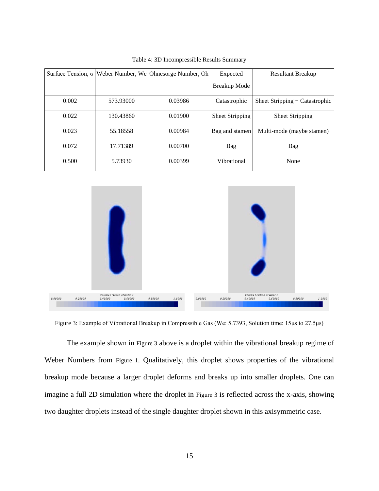<span id="page-25-1"></span>

|       |           | Surface Tension, $\sigma$ Weber Number, We Ohnesorge Number, Oh | Expected        | <b>Resultant Breakup</b>       |
|-------|-----------|-----------------------------------------------------------------|-----------------|--------------------------------|
|       |           |                                                                 | Breakup Mode    |                                |
| 0.002 | 573.93000 | 0.03986                                                         | Catastrophic    | Sheet Stripping + Catastrophic |
| 0.022 | 130.43860 | 0.01900                                                         | Sheet Stripping | Sheet Stripping                |
| 0.023 | 55.18558  | 0.00984                                                         | Bag and stamen  | Multi-mode (maybe stamen)      |
| 0.072 | 17.71389  | 0.00700                                                         | Bag             | Bag                            |
| 0.500 | 5.73930   | 0.00399                                                         | Vibrational     | None                           |

Table 4: 3D Incompressible Results Summary



<span id="page-25-0"></span>Figure 3: Example of Vibrational Breakup in Compressible Gas (We: 5.7393, Solution time: 15μs to 27.5μs)

The example shown in [Figure 3](#page-25-0) above is a droplet within the vibrational breakup regime of Weber Numbers from [Figure 1](#page-14-0). Qualitatively, this droplet shows properties of the vibrational breakup mode because a larger droplet deforms and breaks up into smaller droplets. One can imagine a full 2D simulation where the droplet in [Figure 3](#page-25-0) is reflected across the x-axis, showing two daughter droplets instead of the single daughter droplet shown in this axisymmetric case.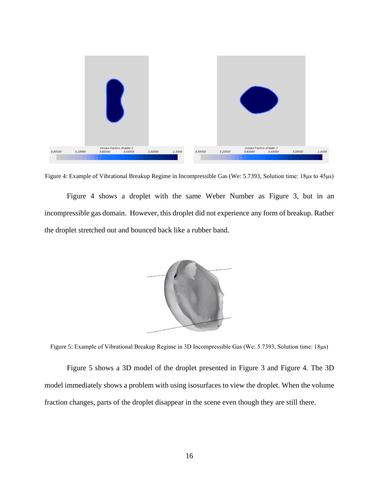

<span id="page-26-0"></span>Figure 4: Example of Vibrational Breakup Regime in Incompressible Gas (We: 5.7393, Solution time: 18μs to 45μs)

[Figure 4](#page-26-0) shows a droplet with the same Weber Number as [Figure 3,](#page-25-0) but in an incompressible gas domain. However, this droplet did not experience any form of breakup. Rather the droplet stretched out and bounced back like a rubber band.



Figure 5: Example of Vibrational Breakup Regime in 3D Incompressible Gas (We: 5.7393, Solution time: 18μs)

<span id="page-26-1"></span>[Figure 5](#page-26-1) shows a 3D model of the droplet presented in [Figure 3](#page-25-0) and [Figure 4.](#page-26-0) The 3D model immediately shows a problem with using isosurfaces to view the droplet. When the volume fraction changes, parts of the droplet disappear in the scene even though they are still there.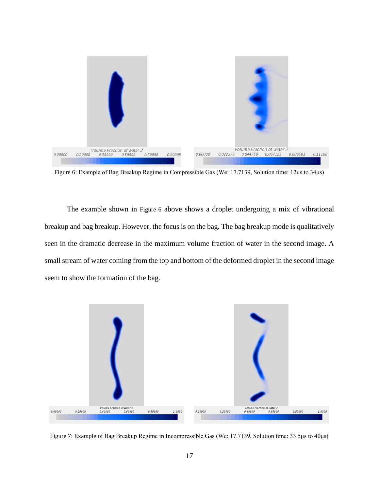

<span id="page-27-0"></span>Figure 6: Example of Bag Breakup Regime in Compressible Gas (We: 17.7139, Solution time: 12μs to 34μs)

The example shown in [Figure 6](#page-27-0) above shows a droplet undergoing a mix of vibrational breakup and bag breakup. However, the focus is on the bag. The bag breakup mode is qualitatively seen in the dramatic decrease in the maximum volume fraction of water in the second image. A small stream of water coming from the top and bottom of the deformed droplet in the second image seem to show the formation of the bag.

<span id="page-27-1"></span>

Figure 7: Example of Bag Breakup Regime in Incompressible Gas (We: 17.7139, Solution time: 33.5μs to 40μs)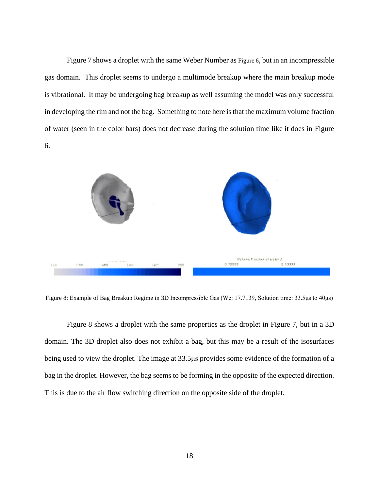[Figure 7](#page-27-1) shows a droplet with the same Weber Number as [Figure 6](#page-27-0), but in an incompressible gas domain. This droplet seems to undergo a multimode breakup where the main breakup mode is vibrational. It may be undergoing bag breakup as well assuming the model was only successful in developing the rim and not the bag. Something to note here is that the maximum volume fraction of water (seen in the color bars) does not decrease during the solution time like it does in [Figure](#page-27-0)  [6.](#page-27-0)



<span id="page-28-0"></span>Figure 8: Example of Bag Breakup Regime in 3D Incompressible Gas (We: 17.7139, Solution time: 33.5μs to 40μs)

[Figure 8](#page-28-0) shows a droplet with the same properties as the droplet in [Figure 7,](#page-27-1) but in a 3D domain. The 3D droplet also does not exhibit a bag, but this may be a result of the isosurfaces being used to view the droplet. The image at 33.5μs provides some evidence of the formation of a bag in the droplet. However, the bag seems to be forming in the opposite of the expected direction. This is due to the air flow switching direction on the opposite side of the droplet.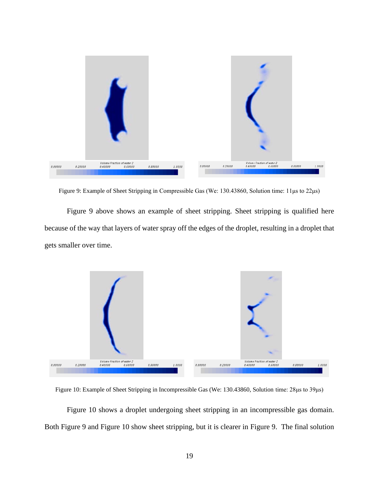

Figure 9: Example of Sheet Stripping in Compressible Gas (We: 130.43860, Solution time: 11μs to 22μs)

<span id="page-29-0"></span>[Figure 9](#page-29-0) above shows an example of sheet stripping. Sheet stripping is qualified here because of the way that layers of water spray off the edges of the droplet, resulting in a droplet that gets smaller over time.



<span id="page-29-1"></span>Figure 10: Example of Sheet Stripping in Incompressible Gas (We: 130.43860, Solution time: 28μs to 39μs)

[Figure 10](#page-29-1) shows a droplet undergoing sheet stripping in an incompressible gas domain. Both [Figure 9](#page-29-0) and [Figure 10](#page-29-1) show sheet stripping, but it is clearer in [Figure 9.](#page-29-0) The final solution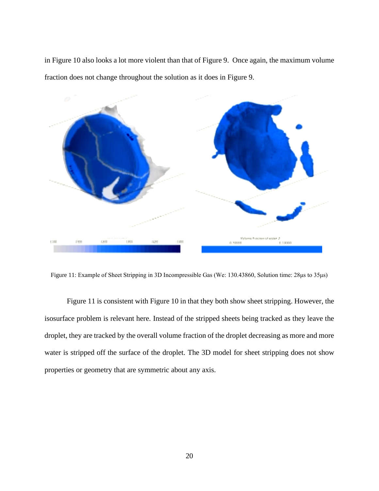in [Figure 10](#page-29-1) also looks a lot more violent than that of [Figure 9.](#page-29-0) Once again, the maximum volume fraction does not change throughout the solution as it does in [Figure 9.](#page-29-0)



<span id="page-30-0"></span>Figure 11: Example of Sheet Stripping in 3D Incompressible Gas (We: 130.43860, Solution time: 28μs to 35μs)

[Figure 11](#page-30-0) is consistent with [Figure 10](#page-29-1) in that they both show sheet stripping. However, the isosurface problem is relevant here. Instead of the stripped sheets being tracked as they leave the droplet, they are tracked by the overall volume fraction of the droplet decreasing as more and more water is stripped off the surface of the droplet. The 3D model for sheet stripping does not show properties or geometry that are symmetric about any axis.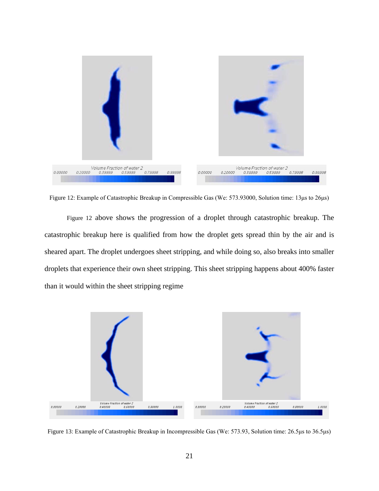

<span id="page-31-0"></span>Figure 12: Example of Catastrophic Breakup in Compressible Gas (We: 573.93000, Solution time: 13μs to 26μs)

[Figure 12](#page-31-0) above shows the progression of a droplet through catastrophic breakup. The catastrophic breakup here is qualified from how the droplet gets spread thin by the air and is sheared apart. The droplet undergoes sheet stripping, and while doing so, also breaks into smaller droplets that experience their own sheet stripping. This sheet stripping happens about 400% faster than it would within the sheet stripping regime



<span id="page-31-1"></span>Figure 13: Example of Catastrophic Breakup in Incompressible Gas (We: 573.93, Solution time: 26.5μs to 36.5μs)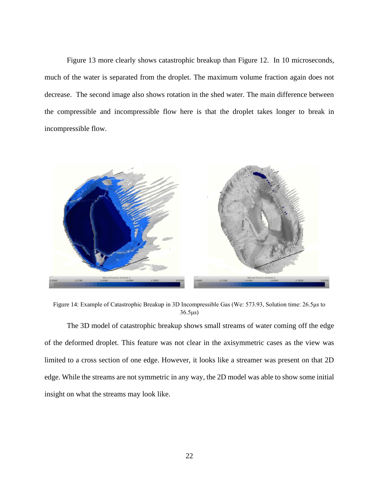[Figure 13](#page-31-1) more clearly shows catastrophic breakup than [Figure 12.](#page-31-0) In 10 microseconds, much of the water is separated from the droplet. The maximum volume fraction again does not decrease. The second image also shows rotation in the shed water. The main difference between the compressible and incompressible flow here is that the droplet takes longer to break in incompressible flow.



Figure 14: Example of Catastrophic Breakup in 3D Incompressible Gas (We: 573.93, Solution time: 26.5μs to 36.5μs)

<span id="page-32-0"></span>The 3D model of catastrophic breakup shows small streams of water coming off the edge of the deformed droplet. This feature was not clear in the axisymmetric cases as the view was limited to a cross section of one edge. However, it looks like a streamer was present on that 2D edge. While the streams are not symmetric in any way, the 2D model was able to show some initial insight on what the streams may look like.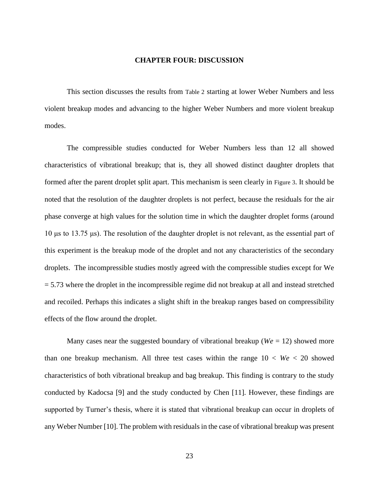#### **CHAPTER FOUR: DISCUSSION**

<span id="page-33-0"></span>This section discusses the results from [Table 2](#page-23-1) starting at lower Weber Numbers and less violent breakup modes and advancing to the higher Weber Numbers and more violent breakup modes.

The compressible studies conducted for Weber Numbers less than 12 all showed characteristics of vibrational breakup; that is, they all showed distinct daughter droplets that formed after the parent droplet split apart. This mechanism is seen clearly in [Figure 3](#page-25-0). It should be noted that the resolution of the daughter droplets is not perfect, because the residuals for the air phase converge at high values for the solution time in which the daughter droplet forms (around 10 μs to 13.75 μs). The resolution of the daughter droplet is not relevant, as the essential part of this experiment is the breakup mode of the droplet and not any characteristics of the secondary droplets. The incompressible studies mostly agreed with the compressible studies except for We  $= 5.73$  where the droplet in the incompressible regime did not breakup at all and instead stretched and recoiled. Perhaps this indicates a slight shift in the breakup ranges based on compressibility effects of the flow around the droplet.

Many cases near the suggested boundary of vibrational breakup ( $We = 12$ ) showed more than one breakup mechanism. All three test cases within the range  $10 < We < 20$  showed characteristics of both vibrational breakup and bag breakup. This finding is contrary to the study conducted by Kadocsa [9] and the study conducted by Chen [11]. However, these findings are supported by Turner's thesis, where it is stated that vibrational breakup can occur in droplets of any Weber Number [10]. The problem with residuals in the case of vibrational breakup was present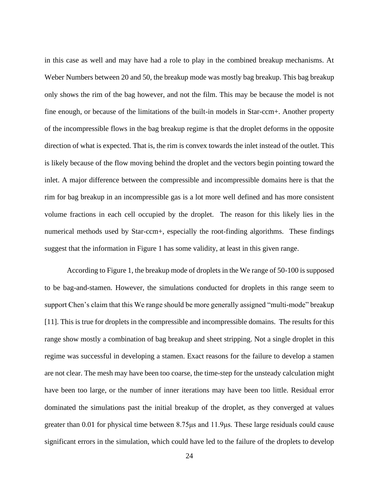in this case as well and may have had a role to play in the combined breakup mechanisms. At Weber Numbers between 20 and 50, the breakup mode was mostly bag breakup. This bag breakup only shows the rim of the bag however, and not the film. This may be because the model is not fine enough, or because of the limitations of the built-in models in Star-ccm+. Another property of the incompressible flows in the bag breakup regime is that the droplet deforms in the opposite direction of what is expected. That is, the rim is convex towards the inlet instead of the outlet. This is likely because of the flow moving behind the droplet and the vectors begin pointing toward the inlet. A major difference between the compressible and incompressible domains here is that the rim for bag breakup in an incompressible gas is a lot more well defined and has more consistent volume fractions in each cell occupied by the droplet. The reason for this likely lies in the numerical methods used by Star-ccm+, especially the root-finding algorithms. These findings suggest that the information in [Figure 1](#page-14-0) has some validity, at least in this given range.

According to [Figure 1,](#page-14-0) the breakup mode of droplets in the We range of 50-100 is supposed to be bag-and-stamen. However, the simulations conducted for droplets in this range seem to support Chen's claim that this We range should be more generally assigned "multi-mode" breakup [11]. This is true for droplets in the compressible and incompressible domains. The results for this range show mostly a combination of bag breakup and sheet stripping. Not a single droplet in this regime was successful in developing a stamen. Exact reasons for the failure to develop a stamen are not clear. The mesh may have been too coarse, the time-step for the unsteady calculation might have been too large, or the number of inner iterations may have been too little. Residual error dominated the simulations past the initial breakup of the droplet, as they converged at values greater than 0.01 for physical time between 8.75μs and 11.9μs. These large residuals could cause significant errors in the simulation, which could have led to the failure of the droplets to develop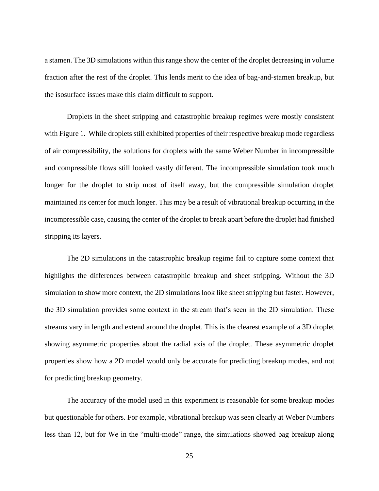a stamen. The 3D simulations within this range show the center of the droplet decreasing in volume fraction after the rest of the droplet. This lends merit to the idea of bag-and-stamen breakup, but the isosurface issues make this claim difficult to support.

Droplets in the sheet stripping and catastrophic breakup regimes were mostly consistent wit[h Figure 1.](#page-14-0) While droplets still exhibited properties of their respective breakup mode regardless of air compressibility, the solutions for droplets with the same Weber Number in incompressible and compressible flows still looked vastly different. The incompressible simulation took much longer for the droplet to strip most of itself away, but the compressible simulation droplet maintained its center for much longer. This may be a result of vibrational breakup occurring in the incompressible case, causing the center of the droplet to break apart before the droplet had finished stripping its layers.

The 2D simulations in the catastrophic breakup regime fail to capture some context that highlights the differences between catastrophic breakup and sheet stripping. Without the 3D simulation to show more context, the 2D simulations look like sheet stripping but faster. However, the 3D simulation provides some context in the stream that's seen in the 2D simulation. These streams vary in length and extend around the droplet. This is the clearest example of a 3D droplet showing asymmetric properties about the radial axis of the droplet. These asymmetric droplet properties show how a 2D model would only be accurate for predicting breakup modes, and not for predicting breakup geometry.

The accuracy of the model used in this experiment is reasonable for some breakup modes but questionable for others. For example, vibrational breakup was seen clearly at Weber Numbers less than 12, but for We in the "multi-mode" range, the simulations showed bag breakup along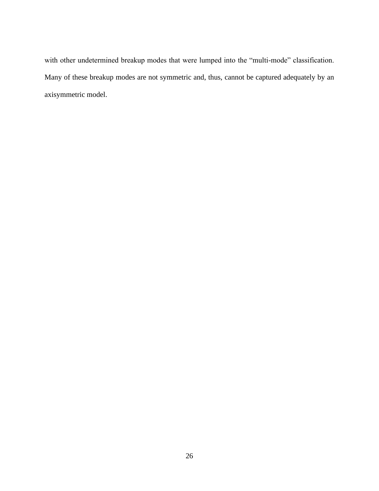with other undetermined breakup modes that were lumped into the "multi-mode" classification. Many of these breakup modes are not symmetric and, thus, cannot be captured adequately by an axisymmetric model.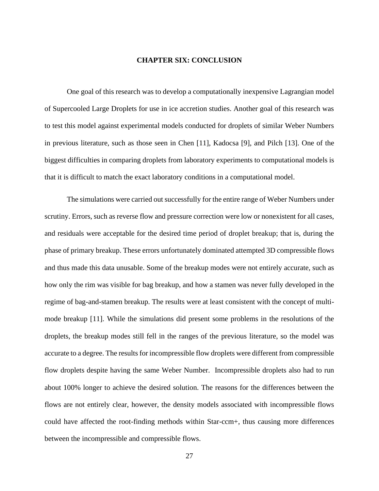#### **CHAPTER SIX: CONCLUSION**

<span id="page-37-0"></span>One goal of this research was to develop a computationally inexpensive Lagrangian model of Supercooled Large Droplets for use in ice accretion studies. Another goal of this research was to test this model against experimental models conducted for droplets of similar Weber Numbers in previous literature, such as those seen in Chen [11], Kadocsa [9], and Pilch [13]. One of the biggest difficulties in comparing droplets from laboratory experiments to computational models is that it is difficult to match the exact laboratory conditions in a computational model.

The simulations were carried out successfully for the entire range of Weber Numbers under scrutiny. Errors, such as reverse flow and pressure correction were low or nonexistent for all cases, and residuals were acceptable for the desired time period of droplet breakup; that is, during the phase of primary breakup. These errors unfortunately dominated attempted 3D compressible flows and thus made this data unusable. Some of the breakup modes were not entirely accurate, such as how only the rim was visible for bag breakup, and how a stamen was never fully developed in the regime of bag-and-stamen breakup. The results were at least consistent with the concept of multimode breakup [11]. While the simulations did present some problems in the resolutions of the droplets, the breakup modes still fell in the ranges of the previous literature, so the model was accurate to a degree. The results for incompressible flow droplets were different from compressible flow droplets despite having the same Weber Number. Incompressible droplets also had to run about 100% longer to achieve the desired solution. The reasons for the differences between the flows are not entirely clear, however, the density models associated with incompressible flows could have affected the root-finding methods within Star-ccm+, thus causing more differences between the incompressible and compressible flows.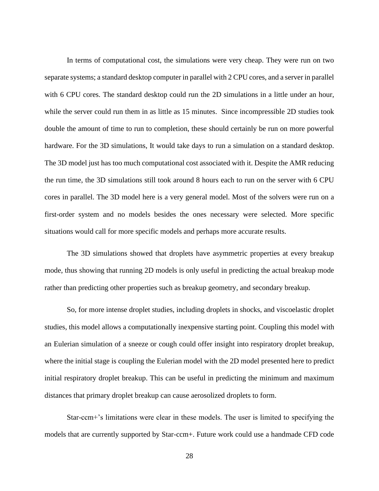In terms of computational cost, the simulations were very cheap. They were run on two separate systems; a standard desktop computer in parallel with 2 CPU cores, and a server in parallel with 6 CPU cores. The standard desktop could run the 2D simulations in a little under an hour, while the server could run them in as little as 15 minutes. Since incompressible 2D studies took double the amount of time to run to completion, these should certainly be run on more powerful hardware. For the 3D simulations, It would take days to run a simulation on a standard desktop. The 3D model just has too much computational cost associated with it. Despite the AMR reducing the run time, the 3D simulations still took around 8 hours each to run on the server with 6 CPU cores in parallel. The 3D model here is a very general model. Most of the solvers were run on a first-order system and no models besides the ones necessary were selected. More specific situations would call for more specific models and perhaps more accurate results.

The 3D simulations showed that droplets have asymmetric properties at every breakup mode, thus showing that running 2D models is only useful in predicting the actual breakup mode rather than predicting other properties such as breakup geometry, and secondary breakup.

So, for more intense droplet studies, including droplets in shocks, and viscoelastic droplet studies, this model allows a computationally inexpensive starting point. Coupling this model with an Eulerian simulation of a sneeze or cough could offer insight into respiratory droplet breakup, where the initial stage is coupling the Eulerian model with the 2D model presented here to predict initial respiratory droplet breakup. This can be useful in predicting the minimum and maximum distances that primary droplet breakup can cause aerosolized droplets to form.

Star-ccm+'s limitations were clear in these models. The user is limited to specifying the models that are currently supported by Star-ccm+. Future work could use a handmade CFD code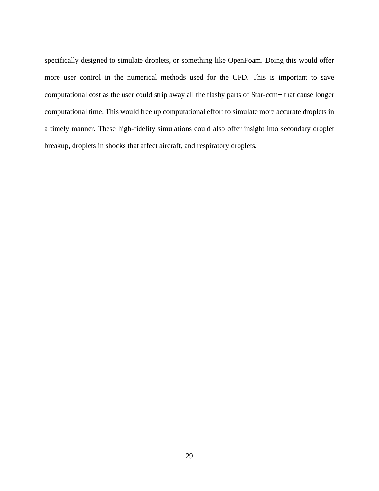specifically designed to simulate droplets, or something like OpenFoam. Doing this would offer more user control in the numerical methods used for the CFD. This is important to save computational cost as the user could strip away all the flashy parts of Star-ccm+ that cause longer computational time. This would free up computational effort to simulate more accurate droplets in a timely manner. These high-fidelity simulations could also offer insight into secondary droplet breakup, droplets in shocks that affect aircraft, and respiratory droplets.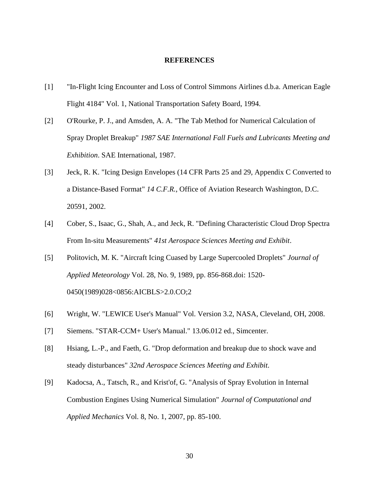#### <span id="page-40-0"></span>**REFERENCES**

- [1] "In-Flight Icing Encounter and Loss of Control Simmons Airlines d.b.a. American Eagle Flight 4184" Vol. 1, National Transportation Safety Board, 1994.
- [2] O'Rourke, P. J., and Amsden, A. A. "The Tab Method for Numerical Calculation of Spray Droplet Breakup" *1987 SAE International Fall Fuels and Lubricants Meeting and Exhibition*. SAE International, 1987.
- [3] Jeck, R. K. "Icing Design Envelopes (14 CFR Parts 25 and 29, Appendix C Converted to a Distance-Based Format" *14 C.F.R.*, Office of Aviation Research Washington, D.C. 20591, 2002.
- [4] Cober, S., Isaac, G., Shah, A., and Jeck, R. "Defining Characteristic Cloud Drop Spectra From In-situ Measurements" *41st Aerospace Sciences Meeting and Exhibit*.
- [5] Politovich, M. K. "Aircraft Icing Cuased by Large Supercooled Droplets" *Journal of Applied Meteorology* Vol. 28, No. 9, 1989, pp. 856-868.doi: 1520- 0450(1989)028<0856:AICBLS>2.0.CO;2
- [6] Wright, W. "LEWICE User's Manual" Vol. Version 3.2, NASA, Cleveland, OH, 2008.
- [7] Siemens. "STAR-CCM+ User's Manual." 13.06.012 ed., Simcenter.
- [8] Hsiang, L.-P., and Faeth, G. "Drop deformation and breakup due to shock wave and steady disturbances" *32nd Aerospace Sciences Meeting and Exhibit*.
- [9] Kadocsa, A., Tatsch, R., and Krist'of, G. "Analysis of Spray Evolution in Internal Combustion Engines Using Numerical Simulation" *Journal of Computational and Applied Mechanics* Vol. 8, No. 1, 2007, pp. 85-100.